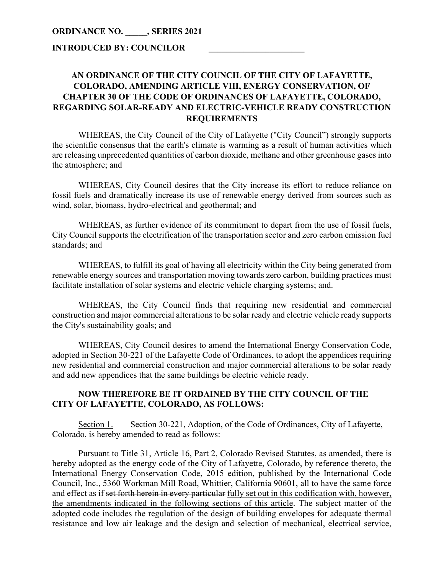# **INTRODUCED BY: COUNCILOR \_\_\_\_\_\_\_\_\_\_\_\_\_\_\_\_\_\_\_\_\_\_**

# **AN ORDINANCE OF THE CITY COUNCIL OF THE CITY OF LAFAYETTE, COLORADO, AMENDING ARTICLE VIII, ENERGY CONSERVATION, OF CHAPTER 30 OF THE CODE OF ORDINANCES OF LAFAYETTE, COLORADO, REGARDING SOLAR-READY AND ELECTRIC-VEHICLE READY CONSTRUCTION REQUIREMENTS**

WHEREAS, the City Council of the City of Lafayette ("City Council") strongly supports the scientific consensus that the earth's climate is warming as a result of human activities which are releasing unprecedented quantities of carbon dioxide, methane and other greenhouse gases into the atmosphere; and

WHEREAS, City Council desires that the City increase its effort to reduce reliance on fossil fuels and dramatically increase its use of renewable energy derived from sources such as wind, solar, biomass, hydro-electrical and geothermal; and

WHEREAS, as further evidence of its commitment to depart from the use of fossil fuels, City Council supports the electrification of the transportation sector and zero carbon emission fuel standards; and

WHEREAS, to fulfill its goal of having all electricity within the City being generated from renewable energy sources and transportation moving towards zero carbon, building practices must facilitate installation of solar systems and electric vehicle charging systems; and.

WHEREAS, the City Council finds that requiring new residential and commercial construction and major commercial alterations to be solar ready and electric vehicle ready supports the City's sustainability goals; and

WHEREAS, City Council desires to amend the International Energy Conservation Code, adopted in Section 30-221 of the Lafayette Code of Ordinances, to adopt the appendices requiring new residential and commercial construction and major commercial alterations to be solar ready and add new appendices that the same buildings be electric vehicle ready.

# **NOW THEREFORE BE IT ORDAINED BY THE CITY COUNCIL OF THE CITY OF LAFAYETTE, COLORADO, AS FOLLOWS:**

Section 1. Section 30-221, Adoption, of the Code of Ordinances, City of Lafayette, Colorado, is hereby amended to read as follows:

Pursuant to Title 31, Article 16, Part 2, Colorado Revised Statutes, as amended, there is hereby adopted as the energy code of the City of Lafayette, Colorado, by reference thereto, the International Energy Conservation Code, 2015 edition, published by the International Code Council, Inc., 5360 Workman Mill Road, Whittier, California 90601, all to have the same force and effect as if set forth herein in every particular fully set out in this codification with, however, the amendments indicated in the following sections of this article. The subject matter of the adopted code includes the regulation of the design of building envelopes for adequate thermal resistance and low air leakage and the design and selection of mechanical, electrical service,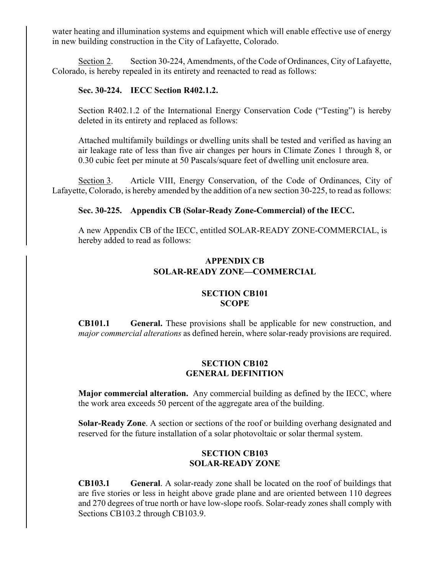water heating and illumination systems and equipment which will enable effective use of energy in new building construction in the City of Lafayette, Colorado.

Section 2. Section 30-224, Amendments, of the Code of Ordinances, City of Lafayette, Colorado, is hereby repealed in its entirety and reenacted to read as follows:

### **Sec. 30-224. IECC Section R402.1.2.**

Section R402.1.2 of the International Energy Conservation Code ("Testing") is hereby deleted in its entirety and replaced as follows:

Attached multifamily buildings or dwelling units shall be tested and verified as having an air leakage rate of less than five air changes per hours in Climate Zones 1 through 8, or 0.30 cubic feet per minute at 50 Pascals/square feet of dwelling unit enclosure area.

Section 3. Article VIII, Energy Conservation, of the Code of Ordinances, City of Lafayette, Colorado, is hereby amended by the addition of a new section 30-225, to read as follows:

### **Sec. 30-225. Appendix CB (Solar-Ready Zone-Commercial) of the IECC.**

A new Appendix CB of the IECC, entitled SOLAR-READY ZONE-COMMERCIAL, is hereby added to read as follows:

# **APPENDIX CB SOLAR-READY ZONE—COMMERCIAL**

#### **SECTION CB101 SCOPE**

**CB101.1 General.** These provisions shall be applicable for new construction, and *major commercial alterations* as defined herein, where solar-ready provisions are required.

#### **SECTION CB102 GENERAL DEFINITION**

**Major commercial alteration.** Any commercial building as defined by the IECC, where the work area exceeds 50 percent of the aggregate area of the building.

**Solar-Ready Zone**. A section or sections of the roof or building overhang designated and reserved for the future installation of a solar photovoltaic or solar thermal system.

## **SECTION CB103 SOLAR-READY ZONE**

**CB103.1 General**. A solar-ready zone shall be located on the roof of buildings that are five stories or less in height above grade plane and are oriented between 110 degrees and 270 degrees of true north or have low-slope roofs. Solar-ready zones shall comply with Sections CB103.2 through CB103.9.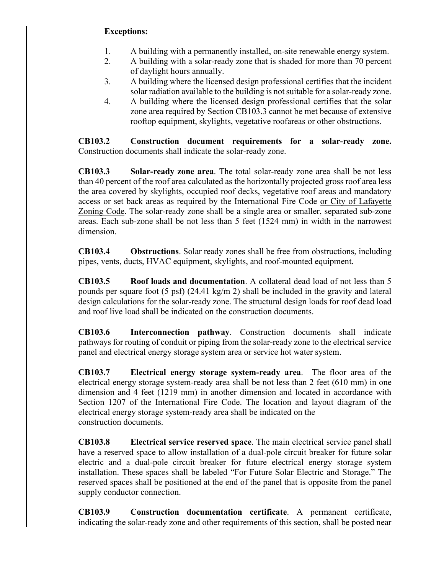# **Exceptions:**

- 1. A building with a permanently installed, on-site renewable energy system.
- 2. A building with a solar-ready zone that is shaded for more than 70 percent of daylight hours annually.
- 3. A building where the licensed design professional certifies that the incident solar radiation available to the building is not suitable for a solar-ready zone.
- 4. A building where the licensed design professional certifies that the solar zone area required by Section CB103.3 cannot be met because of extensive rooftop equipment, skylights, vegetative roofareas or other obstructions.

**CB103.2 Construction document requirements for a solar-ready zone.** Construction documents shall indicate the solar-ready zone.

**CB103.3 Solar-ready zone area**. The total solar-ready zone area shall be not less than 40 percent of the roof area calculated as the horizontally projected gross roof area less the area covered by skylights, occupied roof decks, vegetative roof areas and mandatory access or set back areas as required by the International Fire Code or City of Lafayette Zoning Code. The solar-ready zone shall be a single area or smaller, separated sub-zone areas. Each sub-zone shall be not less than 5 feet (1524 mm) in width in the narrowest dimension.

**CB103.4 Obstructions**. Solar ready zones shall be free from obstructions, including pipes, vents, ducts, HVAC equipment, skylights, and roof-mounted equipment.

**CB103.5 Roof loads and documentation**. A collateral dead load of not less than 5 pounds per square foot (5 psf) (24.41 kg/m 2) shall be included in the gravity and lateral design calculations for the solar-ready zone. The structural design loads for roof dead load and roof live load shall be indicated on the construction documents.

**CB103.6 Interconnection pathway**. Construction documents shall indicate pathways for routing of conduit or piping from the solar-ready zone to the electrical service panel and electrical energy storage system area or service hot water system.

**CB103.7 Electrical energy storage system-ready area**. The floor area of the electrical energy storage system-ready area shall be not less than 2 feet (610 mm) in one dimension and 4 feet (1219 mm) in another dimension and located in accordance with Section 1207 of the International Fire Code. The location and layout diagram of the electrical energy storage system-ready area shall be indicated on the construction documents.

**CB103.8 Electrical service reserved space**. The main electrical service panel shall have a reserved space to allow installation of a dual-pole circuit breaker for future solar electric and a dual-pole circuit breaker for future electrical energy storage system installation. These spaces shall be labeled "For Future Solar Electric and Storage." The reserved spaces shall be positioned at the end of the panel that is opposite from the panel supply conductor connection.

**CB103.9 Construction documentation certificate**. A permanent certificate, indicating the solar-ready zone and other requirements of this section, shall be posted near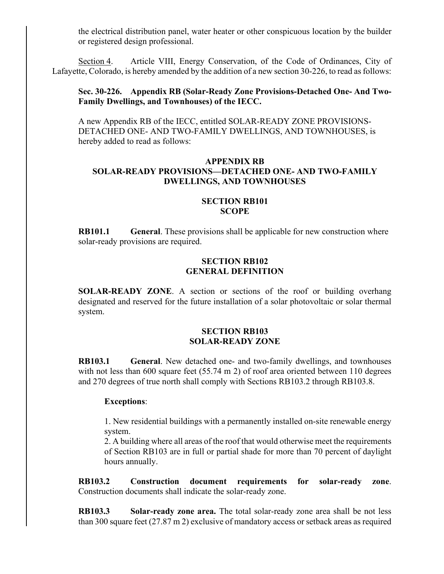the electrical distribution panel, water heater or other conspicuous location by the builder or registered design professional.

Section 4. Article VIII, Energy Conservation, of the Code of Ordinances, City of Lafayette, Colorado, is hereby amended by the addition of a new section 30-226, to read as follows:

### **Sec. 30-226. Appendix RB (Solar-Ready Zone Provisions-Detached One- And Two-Family Dwellings, and Townhouses) of the IECC.**

A new Appendix RB of the IECC, entitled SOLAR-READY ZONE PROVISIONS-DETACHED ONE- AND TWO-FAMILY DWELLINGS, AND TOWNHOUSES, is hereby added to read as follows:

## **APPENDIX RB SOLAR-READY PROVISIONS—DETACHED ONE- AND TWO-FAMILY DWELLINGS, AND TOWNHOUSES**

#### **SECTION RB101 SCOPE**

**RB101.1 General**. These provisions shall be applicable for new construction where solar-ready provisions are required.

### **SECTION RB102 GENERAL DEFINITION**

**SOLAR-READY ZONE**. A section or sections of the roof or building overhang designated and reserved for the future installation of a solar photovoltaic or solar thermal system.

### **SECTION RB103 SOLAR-READY ZONE**

**RB103.1 General**. New detached one- and two-family dwellings, and townhouses with not less than 600 square feet (55.74 m 2) of roof area oriented between 110 degrees and 270 degrees of true north shall comply with Sections RB103.2 through RB103.8.

#### **Exceptions**:

1. New residential buildings with a permanently installed on-site renewable energy system.

2. A building where all areas of the roof that would otherwise meet the requirements of Section RB103 are in full or partial shade for more than 70 percent of daylight hours annually.

**RB103.2 Construction document requirements for solar-ready zone**. Construction documents shall indicate the solar-ready zone.

**RB103.3 Solar-ready zone area.** The total solar-ready zone area shall be not less than 300 square feet (27.87 m 2) exclusive of mandatory access or setback areas as required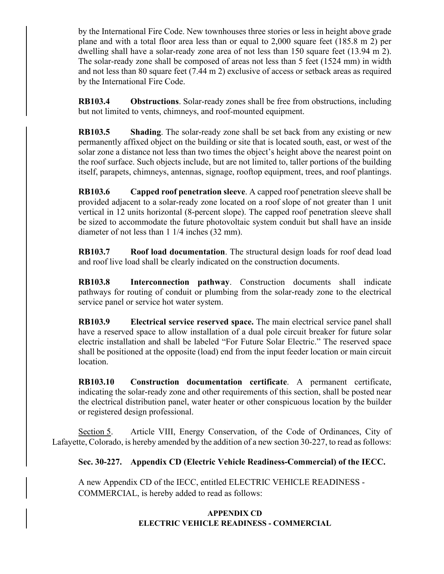by the International Fire Code. New townhouses three stories or less in height above grade plane and with a total floor area less than or equal to 2,000 square feet (185.8 m 2) per dwelling shall have a solar-ready zone area of not less than 150 square feet (13.94 m 2). The solar-ready zone shall be composed of areas not less than 5 feet (1524 mm) in width and not less than 80 square feet (7.44 m 2) exclusive of access or setback areas as required by the International Fire Code.

**RB103.4 Obstructions**. Solar-ready zones shall be free from obstructions, including but not limited to vents, chimneys, and roof-mounted equipment.

**RB103.5 Shading**. The solar-ready zone shall be set back from any existing or new permanently affixed object on the building or site that is located south, east, or west of the solar zone a distance not less than two times the object's height above the nearest point on the roof surface. Such objects include, but are not limited to, taller portions of the building itself, parapets, chimneys, antennas, signage, rooftop equipment, trees, and roof plantings.

**RB103.6 Capped roof penetration sleeve**. A capped roof penetration sleeve shall be provided adjacent to a solar-ready zone located on a roof slope of not greater than 1 unit vertical in 12 units horizontal (8-percent slope). The capped roof penetration sleeve shall be sized to accommodate the future photovoltaic system conduit but shall have an inside diameter of not less than 1 1/4 inches (32 mm).

**RB103.7 Roof load documentation**. The structural design loads for roof dead load and roof live load shall be clearly indicated on the construction documents.

**RB103.8 Interconnection pathway**. Construction documents shall indicate pathways for routing of conduit or plumbing from the solar-ready zone to the electrical service panel or service hot water system.

**RB103.9 Electrical service reserved space.** The main electrical service panel shall have a reserved space to allow installation of a dual pole circuit breaker for future solar electric installation and shall be labeled "For Future Solar Electric." The reserved space shall be positioned at the opposite (load) end from the input feeder location or main circuit location.

**RB103.10 Construction documentation certificate**. A permanent certificate, indicating the solar-ready zone and other requirements of this section, shall be posted near the electrical distribution panel, water heater or other conspicuous location by the builder or registered design professional.

Section 5. Article VIII, Energy Conservation, of the Code of Ordinances, City of Lafayette, Colorado, is hereby amended by the addition of a new section 30-227, to read as follows:

**Sec. 30-227. Appendix CD (Electric Vehicle Readiness-Commercial) of the IECC.**

A new Appendix CD of the IECC, entitled ELECTRIC VEHICLE READINESS - COMMERCIAL, is hereby added to read as follows:

# **APPENDIX CD ELECTRIC VEHICLE READINESS - COMMERCIAL**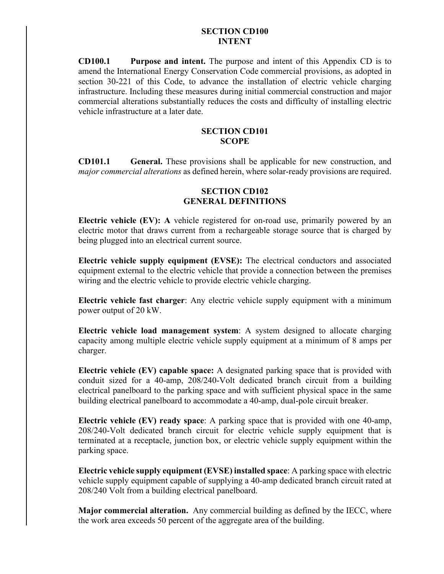### **SECTION CD100 INTENT**

**CD100.1 Purpose and intent.** The purpose and intent of this Appendix CD is to amend the International Energy Conservation Code commercial provisions, as adopted in section 30-221 of this Code, to advance the installation of electric vehicle charging infrastructure. Including these measures during initial commercial construction and major commercial alterations substantially reduces the costs and difficulty of installing electric vehicle infrastructure at a later date.

#### **SECTION CD101 SCOPE**

**CD101.1 General.** These provisions shall be applicable for new construction, and *major commercial alterations* as defined herein, where solar-ready provisions are required.

## **SECTION CD102 GENERAL DEFINITIONS**

**Electric vehicle (EV): A** vehicle registered for on-road use, primarily powered by an electric motor that draws current from a rechargeable storage source that is charged by being plugged into an electrical current source.

**Electric vehicle supply equipment (EVSE):** The electrical conductors and associated equipment external to the electric vehicle that provide a connection between the premises wiring and the electric vehicle to provide electric vehicle charging.

**Electric vehicle fast charger**: Any electric vehicle supply equipment with a minimum power output of 20 kW.

**Electric vehicle load management system**: A system designed to allocate charging capacity among multiple electric vehicle supply equipment at a minimum of 8 amps per charger.

**Electric vehicle (EV) capable space:** A designated parking space that is provided with conduit sized for a 40-amp, 208/240-Volt dedicated branch circuit from a building electrical panelboard to the parking space and with sufficient physical space in the same building electrical panelboard to accommodate a 40-amp, dual-pole circuit breaker.

**Electric vehicle (EV) ready space**: A parking space that is provided with one 40-amp, 208/240-Volt dedicated branch circuit for electric vehicle supply equipment that is terminated at a receptacle, junction box, or electric vehicle supply equipment within the parking space.

**Electric vehicle supply equipment (EVSE) installed space**: A parking space with electric vehicle supply equipment capable of supplying a 40-amp dedicated branch circuit rated at 208/240 Volt from a building electrical panelboard.

**Major commercial alteration.** Any commercial building as defined by the IECC, where the work area exceeds 50 percent of the aggregate area of the building.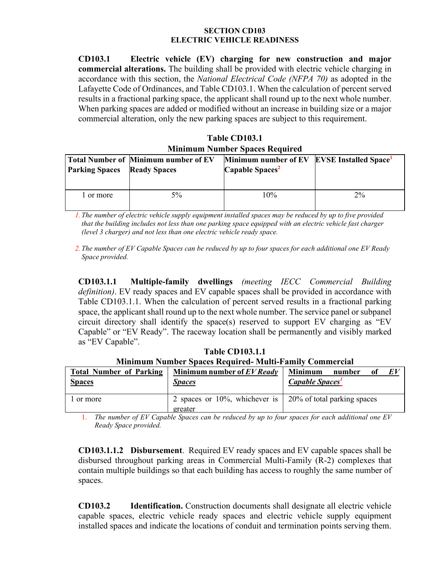#### **SECTION CD103 ELECTRIC VEHICLE READINESS**

**CD103.1 Electric vehicle (EV) charging for new construction and major commercial alterations.** The building shall be provided with electric vehicle charging in accordance with this section, the *National Electrical Code (NFPA 70)* as adopted in the Lafayette Code of Ordinances, and Table CD103.1. When the calculation of percent served results in a fractional parking space, the applicant shall round up to the next whole number. When parking spaces are added or modified without an increase in building size or a major commercial alteration, only the new parking spaces are subject to this requirement.

**Table CD103.1 Minimum Number Spaces Required**

| <b>Parking Spaces</b> | <b>Total Number of Minimum number of EV</b><br><b>Ready Spaces</b> | Minimum number of EV EVSE Installed Space <sup>1</sup><br>Capable Spaces <sup>2</sup> |    |
|-----------------------|--------------------------------------------------------------------|---------------------------------------------------------------------------------------|----|
| 1 or more             | $5\%$                                                              | 10%                                                                                   | 2% |

*1. The number of electric vehicle supply equipment installed spaces may be reduced by up to five provided that the building includes not less than one parking space equipped with an electric vehicle fast charger (level 3 charger) and not less than one electric vehicle ready space.*

*2. The number of EV Capable Spaces can be reduced by up to four spaces for each additional one EV Ready Space provided.* 

**CD103.1.1 Multiple-family dwellings** *(meeting IECC Commercial Building definition)*. EV ready spaces and EV capable spaces shall be provided in accordance with Table CD103.1.1. When the calculation of percent served results in a fractional parking space, the applicant shall round up to the next whole number. The service panel or subpanel circuit directory shall identify the space(s) reserved to support EV charging as "EV Capable" or "EV Ready". The raceway location shall be permanently and visibly marked as "EV Capable".

**Table CD103.1.1 Minimum Number Spaces Required- Multi-Family Commercial**

| <b>Total Number of Parking</b><br><b>Spaces</b> | Minimum number of EV Ready<br><b>Spaces</b>  | EV<br><b>Minimum</b><br>number<br>ot<br>Capable Spaces <sup>1</sup> |
|-------------------------------------------------|----------------------------------------------|---------------------------------------------------------------------|
| or more                                         | 2 spaces or $10\%$ , whichever is<br>greater | 20% of total parking spaces                                         |

1. *The number of EV Capable Spaces can be reduced by up to four spaces for each additional one EV Ready Space provided.* 

**CD103.1.1.2 Disbursement**. Required EV ready spaces and EV capable spaces shall be disbursed throughout parking areas in Commercial Multi-Family (R-2) complexes that contain multiple buildings so that each building has access to roughly the same number of spaces.

**CD103.2 Identification.** Construction documents shall designate all electric vehicle capable spaces, electric vehicle ready spaces and electric vehicle supply equipment installed spaces and indicate the locations of conduit and termination points serving them.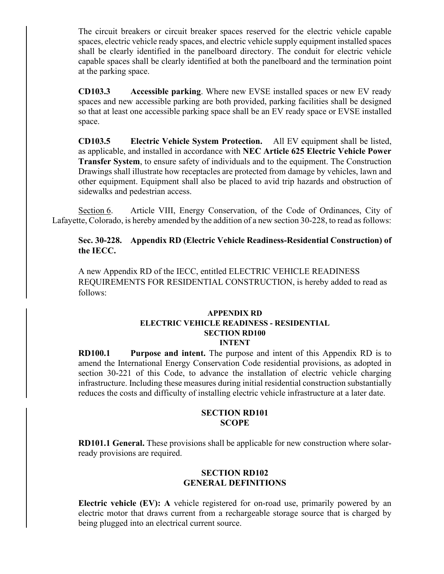The circuit breakers or circuit breaker spaces reserved for the electric vehicle capable spaces, electric vehicle ready spaces, and electric vehicle supply equipment installed spaces shall be clearly identified in the panelboard directory. The conduit for electric vehicle capable spaces shall be clearly identified at both the panelboard and the termination point at the parking space.

**CD103.3 Accessible parking**. Where new EVSE installed spaces or new EV ready spaces and new accessible parking are both provided, parking facilities shall be designed so that at least one accessible parking space shall be an EV ready space or EVSE installed space.

**CD103.5 Electric Vehicle System Protection.** All EV equipment shall be listed, as applicable, and installed in accordance with **NEC Article 625 Electric Vehicle Power Transfer System**, to ensure safety of individuals and to the equipment. The Construction Drawings shall illustrate how receptacles are protected from damage by vehicles, lawn and other equipment. Equipment shall also be placed to avid trip hazards and obstruction of sidewalks and pedestrian access.

Section 6. Article VIII, Energy Conservation, of the Code of Ordinances, City of Lafayette, Colorado, is hereby amended by the addition of a new section 30-228, to read as follows:

**Sec. 30-228. Appendix RD (Electric Vehicle Readiness-Residential Construction) of the IECC.**

A new Appendix RD of the IECC, entitled ELECTRIC VEHICLE READINESS REQUIREMENTS FOR RESIDENTIAL CONSTRUCTION, is hereby added to read as follows:

### **APPENDIX RD ELECTRIC VEHICLE READINESS - RESIDENTIAL SECTION RD100 INTENT**

**RD100.1 Purpose and intent.** The purpose and intent of this Appendix RD is to amend the International Energy Conservation Code residential provisions, as adopted in section 30-221 of this Code, to advance the installation of electric vehicle charging infrastructure. Including these measures during initial residential construction substantially reduces the costs and difficulty of installing electric vehicle infrastructure at a later date.

## **SECTION RD101 SCOPE**

**RD101.1 General.** These provisions shall be applicable for new construction where solarready provisions are required.

## **SECTION RD102 GENERAL DEFINITIONS**

**Electric vehicle (EV): A** vehicle registered for on-road use, primarily powered by an electric motor that draws current from a rechargeable storage source that is charged by being plugged into an electrical current source.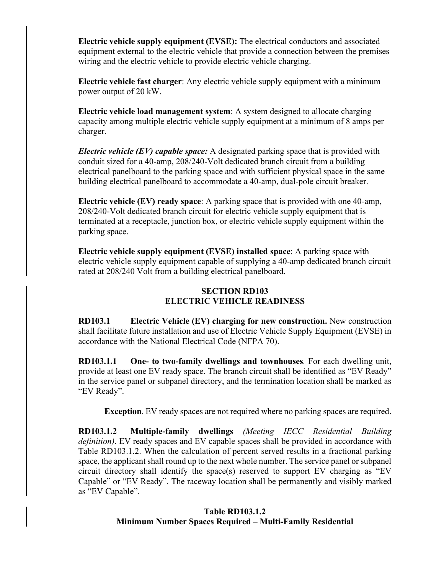**Electric vehicle supply equipment (EVSE):** The electrical conductors and associated equipment external to the electric vehicle that provide a connection between the premises wiring and the electric vehicle to provide electric vehicle charging.

**Electric vehicle fast charger**: Any electric vehicle supply equipment with a minimum power output of 20 kW.

**Electric vehicle load management system**: A system designed to allocate charging capacity among multiple electric vehicle supply equipment at a minimum of 8 amps per charger.

*Electric vehicle (EV) capable space:* A designated parking space that is provided with conduit sized for a 40-amp, 208/240-Volt dedicated branch circuit from a building electrical panelboard to the parking space and with sufficient physical space in the same building electrical panelboard to accommodate a 40-amp, dual-pole circuit breaker.

**Electric vehicle (EV) ready space**: A parking space that is provided with one 40-amp, 208/240-Volt dedicated branch circuit for electric vehicle supply equipment that is terminated at a receptacle, junction box, or electric vehicle supply equipment within the parking space.

**Electric vehicle supply equipment (EVSE) installed space**: A parking space with electric vehicle supply equipment capable of supplying a 40-amp dedicated branch circuit rated at 208/240 Volt from a building electrical panelboard.

# **SECTION RD103 ELECTRIC VEHICLE READINESS**

**RD103.1 Electric Vehicle (EV) charging for new construction.** New construction shall facilitate future installation and use of Electric Vehicle Supply Equipment (EVSE) in accordance with the National Electrical Code (NFPA 70).

**RD103.1.1 One- to two-family dwellings and townhouses***.* For each dwelling unit, provide at least one EV ready space. The branch circuit shall be identified as "EV Ready" in the service panel or subpanel directory, and the termination location shall be marked as "EV Ready".

**Exception**. EV ready spaces are not required where no parking spaces are required.

**RD103.1.2 Multiple-family dwellings** *(Meeting IECC Residential Building definition)*. EV ready spaces and EV capable spaces shall be provided in accordance with Table RD103.1.2. When the calculation of percent served results in a fractional parking space, the applicant shall round up to the next whole number. The service panel or subpanel circuit directory shall identify the space(s) reserved to support EV charging as "EV Capable" or "EV Ready". The raceway location shall be permanently and visibly marked as "EV Capable".

# **Table RD103.1.2 Minimum Number Spaces Required – Multi-Family Residential**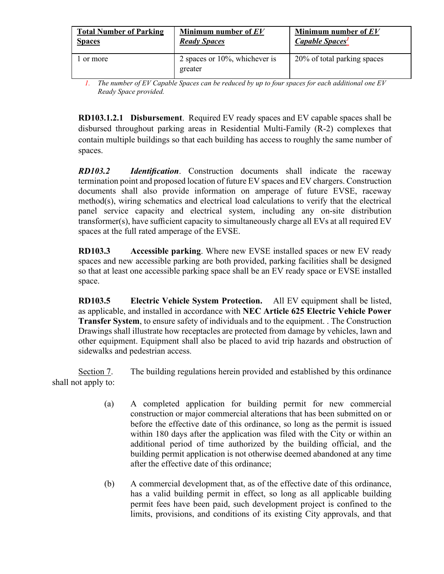| <b>Total Number of Parking</b> | Minimum number of EV                         | Minimum number of $EV$             |
|--------------------------------|----------------------------------------------|------------------------------------|
| <b>Spaces</b>                  | <b>Ready Spaces</b>                          | <b>Capable Spaces</b> <sup>1</sup> |
| or more                        | 2 spaces or $10\%$ , whichever is<br>greater | 20% of total parking spaces        |

*1. The number of EV Capable Spaces can be reduced by up to four spaces for each additional one EV Ready Space provided.* 

**RD103.1.2.1 Disbursement**. Required EV ready spaces and EV capable spaces shall be disbursed throughout parking areas in Residential Multi-Family (R-2) complexes that contain multiple buildings so that each building has access to roughly the same number of spaces.

*RD103.2 Identification*. Construction documents shall indicate the raceway termination point and proposed location of future EV spaces and EV chargers. Construction documents shall also provide information on amperage of future EVSE, raceway method(s), wiring schematics and electrical load calculations to verify that the electrical panel service capacity and electrical system, including any on-site distribution transformer(s), have sufficient capacity to simultaneously charge all EVs at all required EV spaces at the full rated amperage of the EVSE.

**RD103.3 Accessible parking**. Where new EVSE installed spaces or new EV ready spaces and new accessible parking are both provided, parking facilities shall be designed so that at least one accessible parking space shall be an EV ready space or EVSE installed space.

**RD103.5 Electric Vehicle System Protection.** All EV equipment shall be listed, as applicable, and installed in accordance with **NEC Article 625 Electric Vehicle Power Transfer System**, to ensure safety of individuals and to the equipment. . The Construction Drawings shall illustrate how receptacles are protected from damage by vehicles, lawn and other equipment. Equipment shall also be placed to avid trip hazards and obstruction of sidewalks and pedestrian access.

Section 7. The building regulations herein provided and established by this ordinance shall not apply to:

- (a) A completed application for building permit for new commercial construction or major commercial alterations that has been submitted on or before the effective date of this ordinance, so long as the permit is issued within 180 days after the application was filed with the City or within an additional period of time authorized by the building official, and the building permit application is not otherwise deemed abandoned at any time after the effective date of this ordinance;
- (b) A commercial development that, as of the effective date of this ordinance, has a valid building permit in effect, so long as all applicable building permit fees have been paid, such development project is confined to the limits, provisions, and conditions of its existing City approvals, and that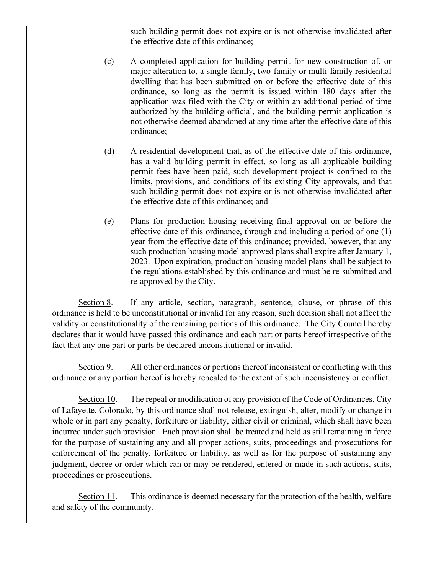such building permit does not expire or is not otherwise invalidated after the effective date of this ordinance;

- (c) A completed application for building permit for new construction of, or major alteration to, a single-family, two-family or multi-family residential dwelling that has been submitted on or before the effective date of this ordinance, so long as the permit is issued within 180 days after the application was filed with the City or within an additional period of time authorized by the building official, and the building permit application is not otherwise deemed abandoned at any time after the effective date of this ordinance;
- (d) A residential development that, as of the effective date of this ordinance, has a valid building permit in effect, so long as all applicable building permit fees have been paid, such development project is confined to the limits, provisions, and conditions of its existing City approvals, and that such building permit does not expire or is not otherwise invalidated after the effective date of this ordinance; and
- (e) Plans for production housing receiving final approval on or before the effective date of this ordinance, through and including a period of one (1) year from the effective date of this ordinance; provided, however, that any such production housing model approved plans shall expire after January 1, 2023. Upon expiration, production housing model plans shall be subject to the regulations established by this ordinance and must be re-submitted and re-approved by the City.

Section 8. If any article, section, paragraph, sentence, clause, or phrase of this ordinance is held to be unconstitutional or invalid for any reason, such decision shall not affect the validity or constitutionality of the remaining portions of this ordinance. The City Council hereby declares that it would have passed this ordinance and each part or parts hereof irrespective of the fact that any one part or parts be declared unconstitutional or invalid.

Section 9. All other ordinances or portions thereof inconsistent or conflicting with this ordinance or any portion hereof is hereby repealed to the extent of such inconsistency or conflict.

Section 10. The repeal or modification of any provision of the Code of Ordinances, City of Lafayette, Colorado, by this ordinance shall not release, extinguish, alter, modify or change in whole or in part any penalty, forfeiture or liability, either civil or criminal, which shall have been incurred under such provision. Each provision shall be treated and held as still remaining in force for the purpose of sustaining any and all proper actions, suits, proceedings and prosecutions for enforcement of the penalty, forfeiture or liability, as well as for the purpose of sustaining any judgment, decree or order which can or may be rendered, entered or made in such actions, suits, proceedings or prosecutions.

Section 11. This ordinance is deemed necessary for the protection of the health, welfare and safety of the community.